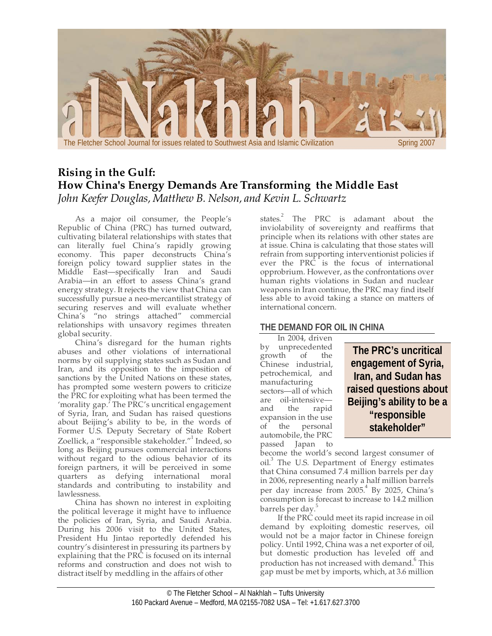

# **Rising in the Gulf: How China's Energy Demands Are Transforming the Middle East**  *John Keefer Douglas, Matthew B. Nelson, and Kevin L. Schwartz*

As a major oil consumer, the People's Republic of China (PRC) has turned outward, cultivating bilateral relationships with states that can literally fuel China's rapidly growing economy. This paper deconstructs China's foreign policy toward supplier states in the Middle East—specifically Iran and Saudi Arabia—in an effort to assess China's grand energy strategy. It rejects the view that China can successfully pursue a neo-mercantilist strategy of securing reserves and will evaluate whether China's "no strings attached" commercial relationships with unsavory regimes threaten global security.

China's disregard for the human rights abuses and other violations of international norms by oil supplying states such as Sudan and Iran, and its opposition to the imposition of sanctions by the United Nations on these states, has prompted some western powers to criticize the PRC for exploiting what has been termed the 'morality gap.' The PRC's uncritical engagement of Syria, Iran, and Sudan has raised questions about Beijing's ability to be, in the words of Former U.S. Deputy Secretary of State Robert Zoellick, a "responsible stakeholder."<sup>1</sup> Indeed, so long as Beijing pursues commercial interactions without regard to the odious behavior of its foreign partners, it will be perceived in some quarters as defying international moral standards and contributing to instability and lawlessness.

China has shown no interest in exploiting the political leverage it might have to influence the policies of Iran, Syria, and Saudi Arabia. During his 2006 visit to the United States, President Hu Jintao reportedly defended his country's disinterest in pressuring its partners by explaining that the PRC is focused on its internal reforms and construction and does not wish to distract itself by meddling in the affairs of other

states. $2$  The PRC is adamant about the inviolability of sovereignty and reaffirms that principle when its relations with other states are at issue. China is calculating that those states will refrain from supporting interventionist policies if ever the PRC is the focus of international opprobrium. However, as the confrontations over human rights violations in Sudan and nuclear weapons in Iran continue, the PRC may find itself less able to avoid taking a stance on matters of international concern.

## **THE DEMAND FOR OIL IN CHINA**

In 2004, driven by unprecedented growth of the Chinese industrial, petrochemical, and manufacturing sectors—all of which are oil-intensive and the rapid expansion in the use of the personal automobile, the PRC passed Japan to

**The PRC's uncritical engagement of Syria, Iran, and Sudan has raised questions about Beijing's ability to be a "responsible stakeholder"** 

become the world's second largest consumer of oil.<sup>3</sup> The U.S. Department of Energy estimates that China consumed 7.4 million barrels per day in 2006, representing nearly a half million barrels per day increase from 2005.<sup>4</sup> By 2025, China's consumption is forecast to increase to 14.2 million barrels per day.<sup>5</sup>

If the PRC could meet its rapid increase in oil demand by exploiting domestic reserves, oil would not be a major factor in Chinese foreign policy. Until 1992, China was a net exporter of oil, but domestic production has leveled off and production has not increased with demand.<sup>6</sup> This gap must be met by imports, which, at 3.6 million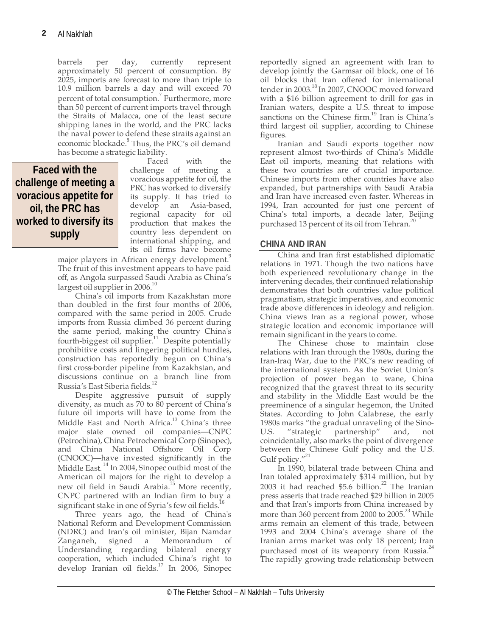barrels per day, currently represent approximately 50 percent of consumption. By 2025, imports are forecast to more than triple to 10.9 million barrels a day and will exceed 70 percent of total consumption.<sup>7</sup> Furthermore, more than 50 percent of current imports travel through the Straits of Malacca, one of the least secure shipping lanes in the world, and the PRC lacks the naval power to defend these straits against an economic blockade.<sup>8</sup> Thus, the PRC's oil demand has become a strategic liability.

**Faced with the challenge of meeting a voracious appetite for oil, the PRC has worked to diversify its supply** 

Faced with the challenge of meeting a voracious appetite for oil, the PRC has worked to diversify its supply. It has tried to develop an Asia-based, regional capacity for oil production that makes the country less dependent on international shipping, and its oil firms have become

major players in African energy development.<sup>9</sup> The fruit of this investment appears to have paid off, as Angola surpassed Saudi Arabia as China's largest oil supplier in 2006. $^{10}$ 

China's oil imports from Kazakhstan more than doubled in the first four months of 2006, compared with the same period in 2005. Crude imports from Russia climbed 36 percent during the same period, making the country China's fourth-biggest oil supplier.<sup>11</sup> Despite potentially prohibitive costs and lingering political hurdles, construction has reportedly begun on China's first cross-border pipeline from Kazakhstan, and discussions continue on a branch line from Russia's East Siberia fields.<sup>12</sup>

Despite aggressive pursuit of supply diversity, as much as 70 to 80 percent of China's future oil imports will have to come from the Middle East and North Africa.<sup>13</sup> China's three major state owned oil companies—CNPC (Petrochina), China Petrochemical Corp (Sinopec), and China National Offshore Oil Corp (CNOOC)—have invested significantly in the Middle East.<sup>14</sup> In 2004, Sinopec outbid most of the American oil majors for the right to develop a new oil field in Saudi Arabia.<sup>15</sup> More recently, CNPC partnered with an Indian firm to buy a significant stake in one of Syria's few oil fields.<sup>11</sup>

Three years ago, the head of China's National Reform and Development Commission (NDRC) and Iran's oil minister, Bijan Namdar Zanganeh, signed a Memorandum of Understanding regarding bilateral energy cooperation, which included China's right to develop Iranian oil fields.<sup>17</sup> In 2006, Sinopec reportedly signed an agreement with Iran to develop jointly the Garmsar oil block, one of 16 oil blocks that Iran offered for international tender in 2003.<sup>18</sup> In 2007, CNOOC moved forward with a \$16 billion agreement to drill for gas in Iranian waters, despite a U.S. threat to impose sanctions on the Chinese firm.<sup>19</sup> Iran is China's third largest oil supplier, according to Chinese figures.

Iranian and Saudi exports together now represent almost two-thirds of China's Middle East oil imports, meaning that relations with these two countries are of crucial importance. Chinese imports from other countries have also expanded, but partnerships with Saudi Arabia and Iran have increased even faster. Whereas in 1994, Iran accounted for just one percent of China's total imports, a decade later, Beijing purchased 13 percent of its oil from Tehran.<sup>20</sup>

#### **CHINA AND IRAN**

China and Iran first established diplomatic relations in 1971. Though the two nations have both experienced revolutionary change in the intervening decades, their continued relationship demonstrates that both countries value political pragmatism, strategic imperatives, and economic trade above differences in ideology and religion. China views Iran as a regional power, whose strategic location and economic importance will remain significant in the years to come.

The Chinese chose to maintain close relations with Iran through the 1980s, during the Iran-Iraq War, due to the PRC's new reading of the international system. As the Soviet Union's projection of power began to wane, China recognized that the gravest threat to its security and stability in the Middle East would be the preeminence of a singular hegemon, the United States. According to John Calabrese, the early 1980s marks "the gradual unraveling of the Sino-<br>U.S. "strategic partnership" and, not U.S. "strategic partnership" and, not coincidentally, also marks the point of divergence between the Chinese Gulf policy and the U.S. Gulf policy."<sup>21</sup>

In 1990, bilateral trade between China and Iran totaled approximately \$314 million, but by 2003 it had reached  $$5.6$  billion.<sup>22</sup> The Iranian press asserts that trade reached \$29 billion in 2005 and that Iran's imports from China increased by more than 360 percent from 2000 to 2005.<sup>23</sup> While arms remain an element of this trade, between 1993 and 2004 China's average share of the Iranian arms market was only 18 percent; Iran purchased most of its weaponry from Russia.<sup>24</sup> The rapidly growing trade relationship between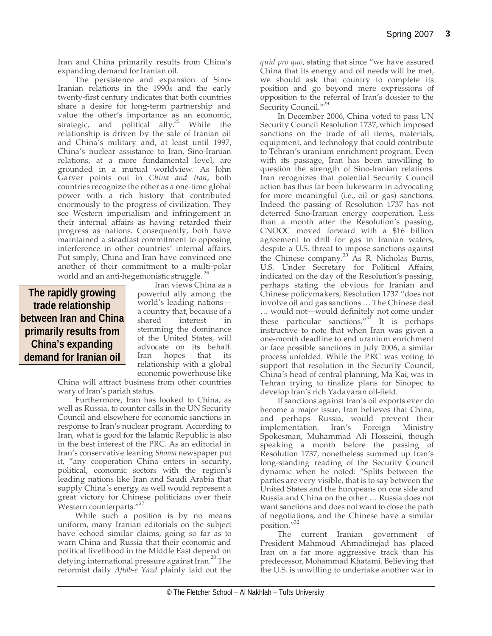Iran and China primarily results from China's expanding demand for Iranian oil.

The persistence and expansion of Sino-Iranian relations in the 1990s and the early twenty-first century indicates that both countries share a desire for long-term partnership and value the other's importance as an economic, strategic, and political ally.<sup>25</sup> While the relationship is driven by the sale of Iranian oil and China's military and, at least until 1997, China's nuclear assistance to Iran, Sino-Iranian relations, at a more fundamental level, are grounded in a mutual worldview. As John Garver points out in *China and Iran*, both countries recognize the other as a one-time global power with a rich history that contributed enormously to the progress of civilization. They see Western imperialism and infringement in their internal affairs as having retarded their progress as nations. Consequently, both have maintained a steadfast commitment to opposing interference in other countries' internal affairs. Put simply, China and Iran have convinced one another of their commitment to a multi-polar world and an anti-hegemonistic struggle.<sup>26</sup>

**The rapidly growing trade relationship between Iran and China primarily results from China's expanding demand for Iranian oil**

Iran views China as a powerful ally among the world's leading nations a country that, because of a shared interest in stemming the dominance of the United States, will advocate on its behalf. Iran hopes that its relationship with a global economic powerhouse like

China will attract business from other countries wary of Iran's pariah status.

Furthermore, Iran has looked to China, as well as Russia, to counter calls in the UN Security Council and elsewhere for economic sanctions in response to Iran's nuclear program. According to Iran, what is good for the Islamic Republic is also in the best interest of the PRC. As an editorial in Iran's conservative leaning *Shoma* newspaper put it, "any cooperation China enters in security, political, economic sectors with the region's leading nations like Iran and Saudi Arabia that supply China's energy as well would represent a great victory for Chinese politicians over their Western counterparts."<sup>27</sup>

While such a position is by no means uniform, many Iranian editorials on the subject have echoed similar claims, going so far as to warn China and Russia that their economic and political livelihood in the Middle East depend on defying international pressure against Iran.<sup>28</sup> The reformist daily *Aftab-e Yazd* plainly laid out the

*quid pro quo*, stating that since "we have assured China that its energy and oil needs will be met, we should ask that country to complete its position and go beyond mere expressions of opposition to the referral of Iran's dossier to the Security Council."<sup>29</sup>

In December 2006, China voted to pass UN Security Council Resolution 1737, which imposed sanctions on the trade of all items, materials, equipment, and technology that could contribute to Tehran's uranium enrichment program. Even with its passage, Iran has been unwilling to question the strength of Sino-Iranian relations. Iran recognizes that potential Security Council action has thus far been lukewarm in advocating for more meaningful (i.e., oil or gas) sanctions. Indeed the passing of Resolution 1737 has not deterred Sino-Iranian energy cooperation. Less than a month after the Resolution's passing, CNOOC moved forward with a \$16 billion agreement to drill for gas in Iranian waters, despite a U.S. threat to impose sanctions against the Chinese company.<sup>30</sup> As R. Nicholas Burns, U.S. Under Secretary for Political Affairs, indicated on the day of the Resolution's passing, perhaps stating the obvious for Iranian and Chinese policymakers, Resolution 1737 "does not involve oil and gas sanctions … The Chinese deal … would not—would definitely not come under these particular sanctions."<sup>31</sup> It is perhaps instructive to note that when Iran was given a one-month deadline to end uranium enrichment or face possible sanctions in July 2006, a similar process unfolded. While the PRC was voting to support that resolution in the Security Council, China's head of central planning, Ma Kai, was in Tehran trying to finalize plans for Sinopec to develop Iran's rich Yadavaran oil-field.

If sanctions against Iran's oil exports ever do become a major issue, Iran believes that China, and perhaps Russia, would prevent their implementation. Iran's Foreign Ministry Spokesman, Muhammad Ali Hosseini, though speaking a month before the passing of Resolution 1737, nonetheless summed up Iran's long-standing reading of the Security Council dynamic when he noted: "Splits between the parties are very visible, that is to say between the United States and the Europeans on one side and Russia and China on the other … Russia does not want sanctions and does not want to close the path of negotiations, and the Chinese have a similar position."<sup>32</sup>

The current Iranian government of President Mahmoud Ahmadinejad has placed Iran on a far more aggressive track than his predecessor, Mohammad Khatami. Believing that the U.S. is unwilling to undertake another war in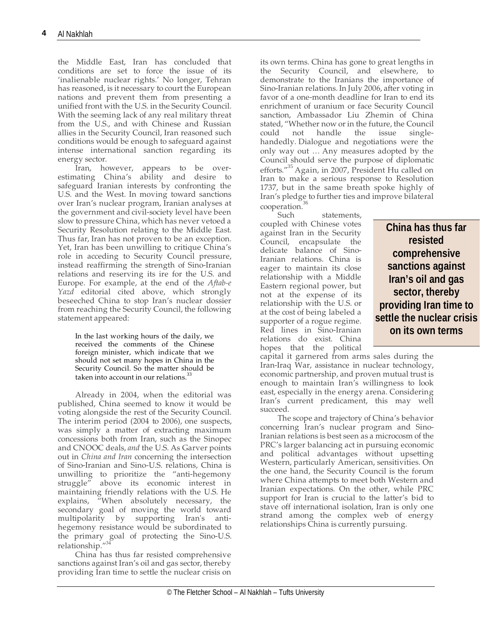the Middle East, Iran has concluded that conditions are set to force the issue of its 'inalienable nuclear rights.' No longer, Tehran has reasoned, is it necessary to court the European nations and prevent them from presenting a unified front with the U.S. in the Security Council. With the seeming lack of any real military threat from the U.S., and with Chinese and Russian allies in the Security Council, Iran reasoned such conditions would be enough to safeguard against intense international sanction regarding its energy sector.

Iran, however, appears to be overestimating China's ability and desire to safeguard Iranian interests by confronting the U.S. and the West. In moving toward sanctions over Iran's nuclear program, Iranian analyses at the government and civil-society level have been slow to pressure China, which has never vetoed a Security Resolution relating to the Middle East. Thus far, Iran has not proven to be an exception. Yet, Iran has been unwilling to critique China's role in acceding to Security Council pressure, instead reaffirming the strength of Sino-Iranian relations and reserving its ire for the U.S. and Europe. For example, at the end of the *Aftab-e*  Yazd editorial cited above, which strongly beseeched China to stop Iran's nuclear dossier from reaching the Security Council, the following statement appeared:

In the last working hours of the daily, we received the comments of the Chinese foreign minister, which indicate that we should not set many hopes in China in the Security Council. So the matter should be taken into account in our relations.<sup>3</sup>

Already in 2004, when the editorial was published, China seemed to know it would be voting alongside the rest of the Security Council. The interim period (2004 to 2006), one suspects, was simply a matter of extracting maximum concessions both from Iran, such as the Sinopec and CNOOC deals, *and* the U.S. As Garver points out in *China and Iran* concerning the intersection of Sino-Iranian and Sino-U.S. relations, China is unwilling to prioritize the "anti-hegemony struggle" above its economic interest in maintaining friendly relations with the U.S. He explains, "When absolutely necessary, the secondary goal of moving the world toward multipolarity by supporting Iran's antihegemony resistance would be subordinated to the primary goal of protecting the Sino-U.S. relationship."34

China has thus far resisted comprehensive sanctions against Iran's oil and gas sector, thereby providing Iran time to settle the nuclear crisis on its own terms. China has gone to great lengths in the Security Council, and elsewhere, to demonstrate to the Iranians the importance of Sino-Iranian relations. In July 2006, after voting in favor of a one-month deadline for Iran to end its enrichment of uranium or face Security Council sanction, Ambassador Liu Zhemin of China stated, "Whether now or in the future, the Council could not handle the issue singlehandedly. Dialogue and negotiations were the only way out … Any measures adopted by the Council should serve the purpose of diplomatic efforts."<sup>35</sup> Again, in 2007, President Hu called on Iran to make a serious response to Resolution 1737, but in the same breath spoke highly of Iran's pledge to further ties and improve bilateral cooperation.<sup>3</sup>

Such statements, coupled with Chinese votes against Iran in the Security Council, encapsulate the delicate balance of Sino-Iranian relations. China is eager to maintain its close relationship with a Middle Eastern regional power, but not at the expense of its relationship with the U.S. or at the cost of being labeled a supporter of a rogue regime. Red lines in Sino-Iranian relations do exist. China hopes that the political

**China has thus far resisted comprehensive sanctions against Iran's oil and gas sector, thereby providing Iran time to settle the nuclear crisis on its own terms** 

capital it garnered from arms sales during the Iran-Iraq War, assistance in nuclear technology, economic partnership, and proven mutual trust is enough to maintain Iran's willingness to look east, especially in the energy arena. Considering Iran's current predicament, this may well succeed.

The scope and trajectory of China's behavior concerning Iran's nuclear program and Sino-Iranian relations is best seen as a microcosm of the PRC's larger balancing act in pursuing economic and political advantages without upsetting Western, particularly American, sensitivities. On the one hand, the Security Council is the forum where China attempts to meet both Western and Iranian expectations. On the other, while PRC support for Iran is crucial to the latter's bid to stave off international isolation, Iran is only one strand among the complex web of energy relationships China is currently pursuing.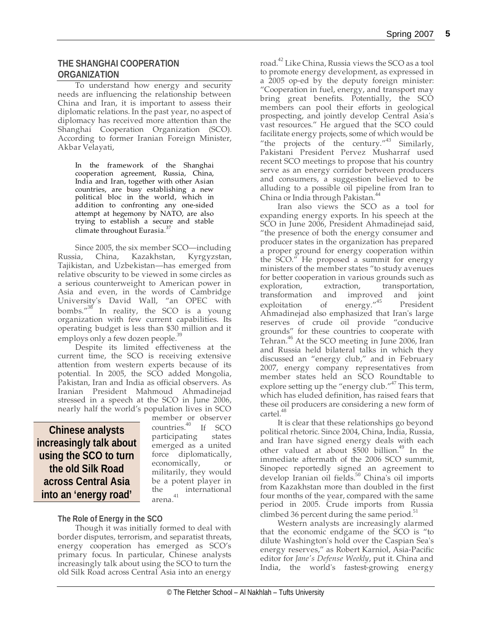## **THE SHANGHAI COOPERATION ORGANIZATION**

To understand how energy and security needs are influencing the relationship between China and Iran, it is important to assess their diplomatic relations. In the past year, no aspect of diplomacy has received more attention than the Shanghai Cooperation Organization (SCO). According to former Iranian Foreign Minister, Akbar Velayati,

In the framework of the Shanghai cooperation agreement, Russia, China, India and Iran, together with other Asian countries, are busy establishing a new political bloc in the world, which in addition to confronting any one-sided attempt at hegemony by NATO, are also trying to establish a secure and stable climate throughout Eurasia.<sup>37</sup>

Since 2005, the six member SCO—including Russia, China, Kazakhstan, Kyrgyzstan, Tajikistan, and Uzbekistan—has emerged from relative obscurity to be viewed in some circles as a serious counterweight to American power in Asia and even, in the words of Cambridge University's David Wall, "an OPEC with bombs." $38$  In reality, the SCO is a young organization with few current capabilities. Its operating budget is less than \$30 million and it employs only a few dozen people.<sup>39</sup>

Despite its limited effectiveness at the current time, the SCO is receiving extensive attention from western experts because of its potential. In 2005, the SCO added Mongolia, Pakistan, Iran and India as official observers. As Iranian President Mahmoud Ahmadinejad stressed in a speech at the SCO in June 2006, nearly half the world's population lives in SCO

**Chinese analysts increasingly talk about using the SCO to turn the old Silk Road across Central Asia into an 'energy road'** 

member or observer countries.<sup>40</sup> If SCO<br>participating states participating emerged as a united force diplomatically, economically, or militarily, they would be a potent player in the  $\frac{1}{41}$  international arena.

## **The Role of Energy in the SCO**

Though it was initially formed to deal with border disputes, terrorism, and separatist threats, energy cooperation has emerged as SCO's primary focus. In particular, Chinese analysts increasingly talk about using the SCO to turn the old Silk Road across Central Asia into an energy

road.<sup>42</sup> Like China, Russia views the SCO as a tool to promote energy development, as expressed in a 2005 op-ed by the deputy foreign minister: "Cooperation in fuel, energy, and transport may bring great benefits. Potentially, the SCO members can pool their efforts in geological prospecting, and jointly develop Central Asia's vast resources." He argued that the SCO could facilitate energy projects, some of which would be "the projects of the century." $43$  Similarly, Pakistani President Pervez Musharraf used recent SCO meetings to propose that his country serve as an energy corridor between producers and consumers, a suggestion believed to be alluding to a possible oil pipeline from Iran to China or India through Pakistan.<sup>44</sup>

Iran also views the SCO as a tool for expanding energy exports. In his speech at the SCO in June 2006, President Ahmadinejad said, "the presence of both the energy consumer and producer states in the organization has prepared a proper ground for energy cooperation within the SCO." He proposed a summit for energy ministers of the member states "to study avenues for better cooperation in various grounds such as<br>exploration, extraction, transportation, exploration, extraction, transportation, transformation and improved and joint exploitation of energy."<sup>45</sup> President Ahmadinejad also emphasized that Iran's large reserves of crude oil provide "conducive grounds" for these countries to cooperate with Tehran.<sup>46</sup> At the SCO meeting in June 2006, Iran and Russia held bilateral talks in which they discussed an "energy club," and in February 2007, energy company representatives from member states held an SCO Roundtable to explore setting up the "energy club."<sup>47</sup> This term, which has eluded definition, has raised fears that these oil producers are considering a new form of  $cartel.<sup>48</sup>$ 

It is clear that these relationships go beyond political rhetoric. Since 2004, China, India, Russia, and Iran have signed energy deals with each other valued at about  $$500$  billion.<sup>49</sup> In the immediate aftermath of the 2006 SCO summit, Sinopec reportedly signed an agreement to develop Iranian oil fields.<sup>50</sup> China's oil imports from Kazakhstan more than doubled in the first four months of the year, compared with the same period in 2005. Crude imports from Russia climbed 36 percent during the same period. $51$ 

Western analysts are increasingly alarmed that the economic endgame of the SCO is "to dilute Washington's hold over the Caspian Sea's energy reserves," as Robert Karniol, Asia-Pacific editor for *Jane's Defense Weekly*, put it. China and India, the world's fastest-growing energy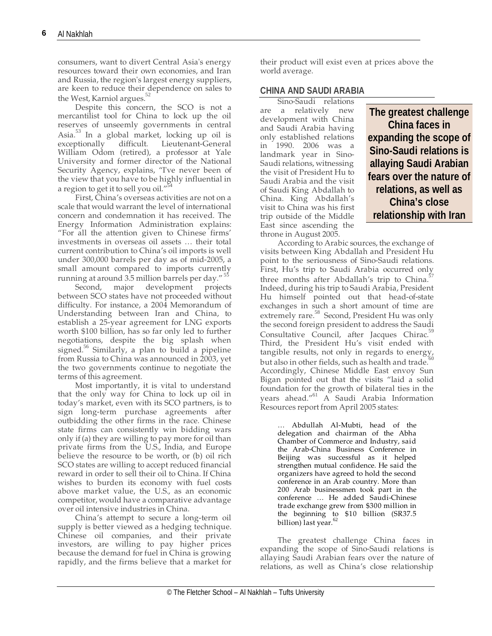consumers, want to divert Central Asia's energy resources toward their own economies, and Iran and Russia, the region's largest energy suppliers, are keen to reduce their dependence on sales to the West, Karniol argues.<sup>52</sup>

Despite this concern, the SCO is not a mercantilist tool for China to lock up the oil reserves of unseemly governments in central Asia. $53$  In a global market, locking up oil is exceptionally difficult. Lieutenant-General William Odom (retired), a professor at Yale University and former director of the National Security Agency, explains, "I've never been of the view that you have to be highly influential in a region to get it to sell you oil."<sup>54</sup>

First, China's overseas activities are not on a scale that would warrant the level of international concern and condemnation it has received. The Energy Information Administration explains: "For all the attention given to Chinese firms' investments in overseas oil assets … their total current contribution to China's oil imports is well under 300,000 barrels per day as of mid-2005, a small amount compared to imports currently running at around 3.5 million barrels per day."<sup>55</sup>

Second, major development projects between SCO states have not proceeded without difficulty. For instance, a 2004 Memorandum of Understanding between Iran and China, to establish a 25-year agreement for LNG exports worth \$100 billion, has so far only led to further negotiations, despite the big splash when signed.<sup>56</sup> Similarly, a plan to build a pipeline from Russia to China was announced in 2003, yet the two governments continue to negotiate the terms of this agreement.

Most importantly, it is vital to understand that the only way for China to lock up oil in today's market, even with its SCO partners, is to sign long-term purchase agreements after outbidding the other firms in the race. Chinese state firms can consistently win bidding wars only if (a) they are willing to pay more for oil than private firms from the U.S., India, and Europe believe the resource to be worth, or (b) oil rich SCO states are willing to accept reduced financial reward in order to sell their oil to China. If China wishes to burden its economy with fuel costs above market value, the U.S., as an economic competitor, would have a comparative advantage over oil intensive industries in China.

China's attempt to secure a long-term oil supply is better viewed as a hedging technique. Chinese oil companies, and their private investors, are willing to pay higher prices because the demand for fuel in China is growing rapidly, and the firms believe that a market for their product will exist even at prices above the world average.

#### **CHINA AND SAUDI ARABIA**

Sino-Saudi relations are a relatively new development with China and Saudi Arabia having only established relations in 1990. 2006 was a landmark year in Sino-Saudi relations, witnessing the visit of President Hu to Saudi Arabia and the visit of Saudi King Abdallah to China. King Abdallah's visit to China was his first trip outside of the Middle East since ascending the throne in August 2005.

**The greatest challenge China faces in expanding the scope of Sino-Saudi relations is allaying Saudi Arabian fears over the nature of relations, as well as China's close relationship with Iran** 

According to Arabic sources, the exchange of visits between King Abdallah and President Hu point to the seriousness of Sino-Saudi relations. First, Hu's trip to Saudi Arabia occurred only three months after Abdallah's trip to China.<sup>5</sup> Indeed, during his trip to Saudi Arabia, President Hu himself pointed out that head-of-state exchanges in such a short amount of time are extremely rare.<sup>58</sup> Second, President Hu was only the second foreign president to address the Saudi Consultative Council, after Jacques Chirac.<sup>59</sup> Third, the President Hu's visit ended with tangible results, not only in regards to energy, but also in other fields, such as health and trade. $^6$ Accordingly, Chinese Middle East envoy Sun Bigan pointed out that the visits "laid a solid foundation for the growth of bilateral ties in the years ahead."<sup>61</sup> A Saudi Arabia Information Resources report from April 2005 states:

… Abdullah Al-Mubti, head of the delegation and chairman of the Abha Chamber of Commerce and Industry, said the Arab-China Business Conference in Beijing was successful as it helped strengthen mutual confidence. He said the organizers have agreed to hold the second conference in an Arab country. More than 200 Arab businessmen took part in the conference … He added Saudi-Chinese trade exchange grew from \$300 million in the beginning to \$10 billion (SR37.5)<br>billion) last year.<sup>62</sup>

The greatest challenge China faces in expanding the scope of Sino-Saudi relations is allaying Saudi Arabian fears over the nature of relations, as well as China's close relationship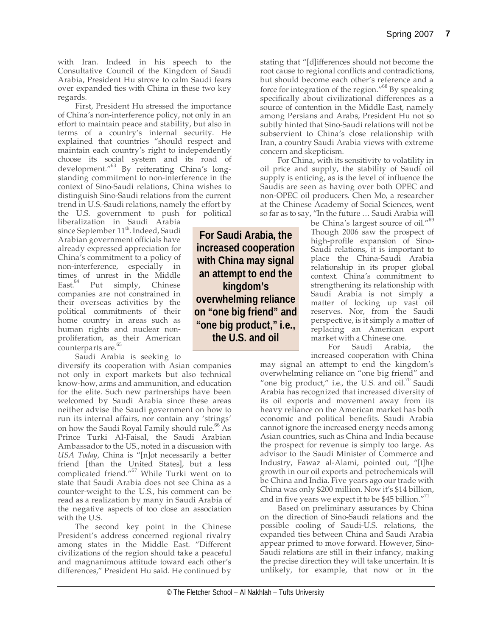with Iran. Indeed in his speech to the Consultative Council of the Kingdom of Saudi Arabia, President Hu strove to calm Saudi fears over expanded ties with China in these two key regards.

First, President Hu stressed the importance of China's non-interference policy, not only in an effort to maintain peace and stability, but also in terms of a country's internal security. He explained that countries "should respect and maintain each country's right to independently choose its social system and its road of development."<sup>63</sup> By reiterating China's longstanding commitment to non-interference in the context of Sino-Saudi relations, China wishes to distinguish Sino-Saudi relations from the current trend in U.S.-Saudi relations, namely the effort by the U.S. government to push for political

liberalization in Saudi Arabia since September 11<sup>th</sup>. Indeed, Saudi Arabian government officials have already expressed appreciation for China's commitment to a policy of non-interference, especially in times of unrest in the Middle<br>East.<sup>64</sup> Put simply. Chinese Put simply, Chinese companies are not constrained in their overseas activities by the political commitments of their home country in areas such as human rights and nuclear nonproliferation, as their American counterparts are.<sup>65</sup>

Saudi Arabia is seeking to

diversify its cooperation with Asian companies not only in export markets but also technical know-how, arms and ammunition, and education for the elite. Such new partnerships have been welcomed by Saudi Arabia since these areas neither advise the Saudi government on how to run its internal affairs, nor contain any 'strings' on how the Saudi Royal Family should rule.<sup>66</sup> As Prince Turki Al-Faisal, the Saudi Arabian Ambassador to the US., noted in a discussion with *USA Today*, China is "[n]ot necessarily a better friend [than the United States], but a less complicated friend."<sup>67</sup> While Turki went on to state that Saudi Arabia does not see China as a counter-weight to the U.S., his comment can be read as a realization by many in Saudi Arabia of the negative aspects of too close an association with the U.S.

The second key point in the Chinese President's address concerned regional rivalry among states in the Middle East. "Different civilizations of the region should take a peaceful and magnanimous attitude toward each other's differences," President Hu said. He continued by

**For Saudi Arabia, the increased cooperation with China may signal an attempt to end the kingdom's overwhelming reliance on "one big friend" and "one big product," i.e., the U.S. and oil** 

stating that "[d]ifferences should not become the root cause to regional conflicts and contradictions, but should become each other's reference and a force for integration of the region."<sup>68</sup> By speaking specifically about civilizational differences as a source of contention in the Middle East, namely among Persians and Arabs, President Hu not so subtly hinted that Sino-Saudi relations will not be subservient to China's close relationship with Iran, a country Saudi Arabia views with extreme concern and skepticism.

For China, with its sensitivity to volatility in oil price and supply, the stability of Saudi oil supply is enticing, as is the level of influence the Saudis are seen as having over both OPEC and non-OPEC oil producers. Chen Mo, a researcher at the Chinese Academy of Social Sciences, went so far as to say, "In the future … Saudi Arabia will

> be China's largest source of oil."<sup>69</sup> Though 2006 saw the prospect of high-profile expansion of Sino-Saudi relations, it is important to place the China-Saudi Arabia relationship in its proper global context. China's commitment to strengthening its relationship with Saudi Arabia is not simply a matter of locking up vast oil reserves. Nor, from the Saudi perspective, is it simply a matter of replacing an American export market with a Chinese one.

For Saudi Arabia, the increased cooperation with China

may signal an attempt to end the kingdom's overwhelming reliance on "one big friend" and "one big product," i.e., the U.S. and  $\delta$ il.<sup>70</sup> Saudi Arabia has recognized that increased diversity of its oil exports and movement away from its heavy reliance on the American market has both economic and political benefits. Saudi Arabia cannot ignore the increased energy needs among Asian countries, such as China and India because the prospect for revenue is simply too large. As advisor to the Saudi Minister of Commerce and Industry, Fawaz al-Alami, pointed out, "[t]he growth in our oil exports and petrochemicals will be China and India. Five years ago our trade with China was only \$200 million. Now it's \$14 billion, and in five years we expect it to be \$45 billion." $11$ 

Based on preliminary assurances by China on the direction of Sino-Saudi relations and the possible cooling of Saudi-U.S. relations, the expanded ties between China and Saudi Arabia appear primed to move forward. However, Sino-Saudi relations are still in their infancy, making the precise direction they will take uncertain. It is unlikely, for example, that now or in the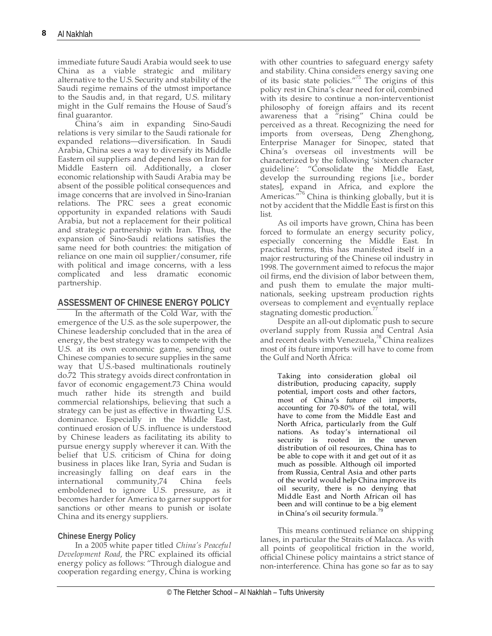immediate future Saudi Arabia would seek to use China as a viable strategic and military alternative to the U.S. Security and stability of the Saudi regime remains of the utmost importance to the Saudis and, in that regard, U.S. military might in the Gulf remains the House of Saud's final guarantor.

China's aim in expanding Sino-Saudi relations is very similar to the Saudi rationale for expanded relations—diversification. In Saudi Arabia, China sees a way to diversify its Middle Eastern oil suppliers and depend less on Iran for Middle Eastern oil. Additionally, a closer economic relationship with Saudi Arabia may be absent of the possible political consequences and image concerns that are involved in Sino-Iranian relations. The PRC sees a great economic opportunity in expanded relations with Saudi Arabia, but not a replacement for their political and strategic partnership with Iran. Thus, the expansion of Sino-Saudi relations satisfies the same need for both countries: the mitigation of reliance on one main oil supplier/consumer, rife with political and image concerns, with a less complicated and less dramatic economic partnership.

## **ASSESSMENT OF CHINESE ENERGY POLICY**

In the aftermath of the Cold War, with the emergence of the U.S. as the sole superpower, the Chinese leadership concluded that in the area of energy, the best strategy was to compete with the U.S. at its own economic game, sending out Chinese companies to secure supplies in the same way that U.S.-based multinationals routinely do.72 This strategy avoids direct confrontation in favor of economic engagement.73 China would much rather hide its strength and build commercial relationships, believing that such a strategy can be just as effective in thwarting U.S. dominance. Especially in the Middle East, continued erosion of U.S. influence is understood by Chinese leaders as facilitating its ability to pursue energy supply wherever it can. With the belief that U.S. criticism of China for doing business in places like Iran, Syria and Sudan is increasingly falling on deaf ears in the international community,74 China feels emboldened to ignore U.S. pressure, as it becomes harder for America to garner support for sanctions or other means to punish or isolate China and its energy suppliers.

#### **Chinese Energy Policy**

In a 2005 white paper titled *China's Peaceful Development Road*, the PRC explained its official energy policy as follows: "Through dialogue and cooperation regarding energy, China is working with other countries to safeguard energy safety and stability. China considers energy saving one of its basic state policies."<sup>75</sup> The origins of this policy rest in China's clear need for oil, combined with its desire to continue a non-interventionist philosophy of foreign affairs and its recent awareness that a "rising" China could be perceived as a threat. Recognizing the need for imports from overseas, Deng Zhenghong, Enterprise Manager for Sinopec, stated that China's overseas oil investments will be characterized by the following 'sixteen character guideline': "Consolidate the Middle East, develop the surrounding regions [i.e., border states], expand in Africa, and explore the Americas."<sup>76</sup> China is thinking globally, but it is not by accident that the Middle East is first on this list.

As oil imports have grown, China has been forced to formulate an energy security policy, especially concerning the Middle East. In practical terms, this has manifested itself in a major restructuring of the Chinese oil industry in 1998. The government aimed to refocus the major oil firms, end the division of labor between them, and push them to emulate the major multinationals, seeking upstream production rights overseas to complement and eventually replace stagnating domestic production.<sup>77</sup>

Despite an all-out diplomatic push to secure overland supply from Russia and Central Asia and recent deals with Venezuela, $^{78}$  China realizes most of its future imports will have to come from the Gulf and North Africa:

Taking into consideration global oil distribution, producing capacity, supply potential, import costs and other factors, most of China's future oil imports, accounting for 70-80% of the total, will have to come from the Middle East and North Africa, particularly from the Gulf nations. As today's international oil security is rooted in the uneven distribution of oil resources, China has to be able to cope with it and get out of it as much as possible. Although oil imported from Russia, Central Asia and other parts of the world would help China improve its oil security, there is no denying that Middle East and North African oil has been and will continue to be a big element in China's oil security formula.

This means continued reliance on shipping lanes, in particular the Straits of Malacca. As with all points of geopolitical friction in the world, official Chinese policy maintains a strict stance of non-interference. China has gone so far as to say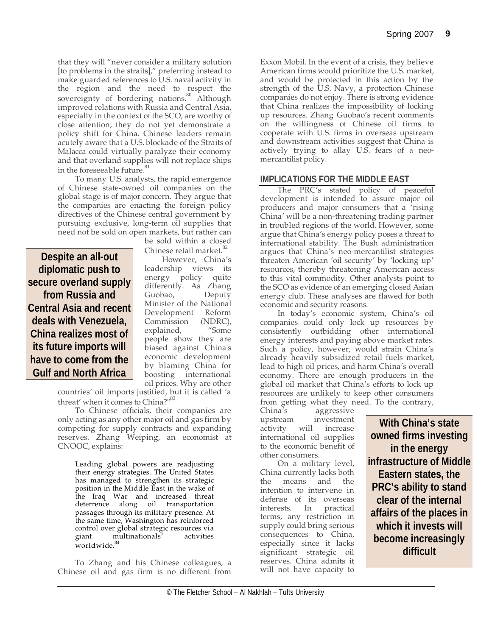that they will "never consider a military solution [to problems in the straits]," preferring instead to make guarded references to U.S. naval activity in the region and the need to respect the sovereignty of bordering nations.<sup>80</sup> Although improved relations with Russia and Central Asia, especially in the context of the SCO, are worthy of close attention, they do not yet demonstrate a policy shift for China. Chinese leaders remain acutely aware that a U.S. blockade of the Straits of Malacca could virtually paralyze their economy and that overland supplies will not replace ships in the foreseeable future. $81$ 

To many U.S. analysts, the rapid emergence of Chinese state-owned oil companies on the global stage is of major concern. They argue that the companies are enacting the foreign policy directives of the Chinese central government by pursuing exclusive, long-term oil supplies that need not be sold on open markets, but rather can

**Despite an all-out diplomatic push to secure overland supply from Russia and Central Asia and recent deals with Venezuela, China realizes most of its future imports will have to come from the Gulf and North Africa** 

be sold within a closed Chinese retail market.<sup>82</sup>

However, China's leadership views its energy policy quite differently. As Zhang Guobao, Deputy Minister of the National<br>Development Reform Development Commission (NDRC),<br>explained, "Some explained, people show they are biased against China's economic development by blaming China for boosting international oil prices. Why are other

countries' oil imports justified, but it is called 'a threat' when it comes to China?"<sup>83</sup>

To Chinese officials, their companies are only acting as any other major oil and gas firm by competing for supply contracts and expanding reserves. Zhang Weiping, an economist at CNOOC, explains:

Leading global powers are readjusting their energy strategies. The United States has managed to strengthen its strategic position in the Middle East in the wake of the Iraq War and increased threat deterrence along oil transportation passages through its military presence. At the same time, Washington has reinforced control over global strategic resources via giant multinationals' activities worldwide.<sup>84</sup>

To Zhang and his Chinese colleagues, a Chinese oil and gas firm is no different from Exxon Mobil. In the event of a crisis, they believe American firms would prioritize the U.S. market, and would be protected in this action by the strength of the U.S. Navy, a protection Chinese companies do not enjoy. There is strong evidence that China realizes the impossibility of locking up resources. Zhang Guobao's recent comments on the willingness of Chinese oil firms to cooperate with U.S. firms in overseas upstream and downstream activities suggest that China is actively trying to allay U.S. fears of a neomercantilist policy.

## **IMPLICATIONS FOR THE MIDDLE EAST**

The PRC's stated policy of peaceful development is intended to assure major oil producers and major consumers that a 'rising China' will be a non-threatening trading partner in troubled regions of the world. However, some argue that China's energy policy poses a threat to international stability. The Bush administration argues that China's neo-mercantilist strategies threaten American 'oil security' by 'locking up' resources, thereby threatening American access to this vital commodity. Other analysts point to the SCO as evidence of an emerging closed Asian energy club. These analyses are flawed for both economic and security reasons.

In today's economic system, China's oil companies could only lock up resources by consistently outbidding other international energy interests and paying above market rates. Such a policy, however, would strain China's already heavily subsidized retail fuels market, lead to high oil prices, and harm China's overall economy. There are enough producers in the global oil market that China's efforts to lock up resources are unlikely to keep other consumers from getting what they need. To the contrary,

China's aggressive upstream investment activity will increase international oil supplies to the economic benefit of other consumers.

On a military level, China currently lacks both the means and the intention to intervene in defense of its overseas interests. In practical terms, any restriction in supply could bring serious consequences to China, especially since it lacks significant strategic oil reserves. China admits it will not have capacity to

**With China's state owned firms investing in the energy infrastructure of Middle Eastern states, the PRC's ability to stand clear of the internal affairs of the places in which it invests will become increasingly difficult**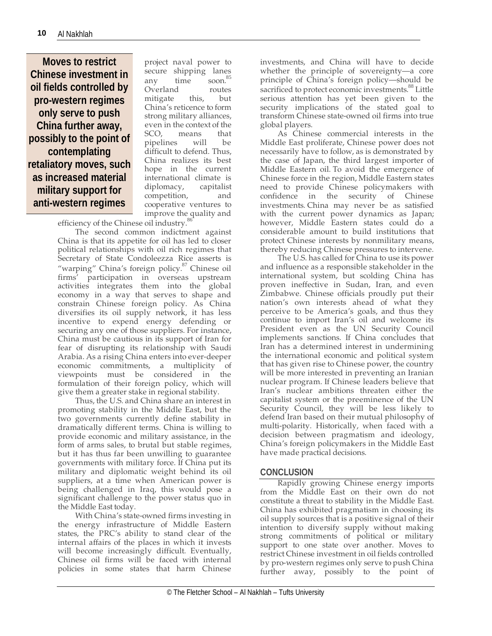**Moves to restrict Chinese investment in oil fields controlled by pro-western regimes only serve to push China further away, possibly to the point of contemplating retaliatory moves, such as increased material military support for anti-western regimes** 

project naval power to secure shipping lanes any time soon.<sup>85</sup><br>Overland routes Overland mitigate this, but China's reticence to form strong military alliances, even in the context of the SCO, means that pipelines will be difficult to defend. Thus, China realizes its best hope in the current international climate is diplomacy, capitalist competition, and cooperative ventures to improve the quality and

efficiency of the Chinese oil industry.<sup>80</sup>

The second common indictment against China is that its appetite for oil has led to closer political relationships with oil rich regimes that Secretary of State Condoleezza Rice asserts is "warping" China's foreign policy.<sup>87</sup> Chinese oil firms' participation in overseas upstream activities integrates them into the global economy in a way that serves to shape and constrain Chinese foreign policy. As China diversifies its oil supply network, it has less incentive to expend energy defending or securing any one of those suppliers. For instance, China must be cautious in its support of Iran for fear of disrupting its relationship with Saudi Arabia. As a rising China enters into ever-deeper economic commitments, a multiplicity of viewpoints must be considered in the formulation of their foreign policy, which will give them a greater stake in regional stability.

Thus, the U.S. and China share an interest in promoting stability in the Middle East, but the two governments currently define stability in dramatically different terms. China is willing to provide economic and military assistance, in the form of arms sales, to brutal but stable regimes, but it has thus far been unwilling to guarantee governments with military force. If China put its military and diplomatic weight behind its oil suppliers, at a time when American power is being challenged in Iraq, this would pose a significant challenge to the power status quo in the Middle East today.

With China's state-owned firms investing in the energy infrastructure of Middle Eastern states, the PRC's ability to stand clear of the internal affairs of the places in which it invests will become increasingly difficult. Eventually, Chinese oil firms will be faced with internal policies in some states that harm Chinese

investments, and China will have to decide whether the principle of sovereignty—a core principle of China's foreign policy—should be sacrificed to protect economic investments.<sup>88</sup> Little serious attention has yet been given to the security implications of the stated goal to transform Chinese state-owned oil firms into true global players.

As Chinese commercial interests in the Middle East proliferate, Chinese power does not necessarily have to follow, as is demonstrated by the case of Japan, the third largest importer of Middle Eastern oil. To avoid the emergence of Chinese force in the region, Middle Eastern states need to provide Chinese policymakers with confidence in the security of Chinese investments. China may never be as satisfied with the current power dynamics as Japan; however, Middle Eastern states could do a considerable amount to build institutions that protect Chinese interests by nonmilitary means, thereby reducing Chinese pressures to intervene.

The U.S. has called for China to use its power and influence as a responsible stakeholder in the international system, but scolding China has proven ineffective in Sudan, Iran, and even Zimbabwe. Chinese officials proudly put their nation's own interests ahead of what they perceive to be America's goals, and thus they continue to import Iran's oil and welcome its President even as the UN Security Council implements sanctions. If China concludes that Iran has a determined interest in undermining the international economic and political system that has given rise to Chinese power, the country will be more interested in preventing an Iranian nuclear program. If Chinese leaders believe that Iran's nuclear ambitions threaten either the capitalist system or the preeminence of the UN Security Council, they will be less likely to defend Iran based on their mutual philosophy of multi-polarity. Historically, when faced with a decision between pragmatism and ideology, China's foreign policymakers in the Middle East have made practical decisions.

## **CONCLUSION**

Rapidly growing Chinese energy imports from the Middle East on their own do not constitute a threat to stability in the Middle East. China has exhibited pragmatism in choosing its oil supply sources that is a positive signal of their intention to diversify supply without making strong commitments of political or military support to one state over another. Moves to restrict Chinese investment in oil fields controlled by pro-western regimes only serve to push China further away, possibly to the point of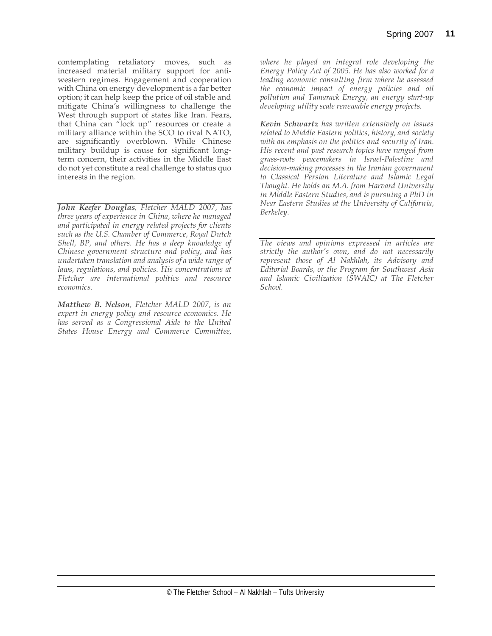contemplating retaliatory moves, such as increased material military support for antiwestern regimes. Engagement and cooperation with China on energy development is a far better option; it can help keep the price of oil stable and mitigate China's willingness to challenge the West through support of states like Iran. Fears, that China can "lock up" resources or create a military alliance within the SCO to rival NATO, are significantly overblown. While Chinese military buildup is cause for significant longterm concern, their activities in the Middle East do not yet constitute a real challenge to status quo interests in the region.

*John Keefer Douglas, Fletcher MALD 2007, has three years of experience in China, where he managed and participated in energy related projects for clients such as the U.S. Chamber of Commerce, Royal Dutch Shell, BP, and others. He has a deep knowledge of Chinese government structure and policy, and has undertaken translation and analysis of a wide range of laws, regulations, and policies. His concentrations at Fletcher are international politics and resource economics.* 

*Matthew B. Nelson, Fletcher MALD 2007, is an expert in energy policy and resource economics. He has served as a Congressional Aide to the United States House Energy and Commerce Committee,*  *where he played an integral role developing the Energy Policy Act of 2005. He has also worked for a leading economic consulting firm where he assessed the economic impact of energy policies and oil pollution and Tamarack Energy, an energy start-up developing utility scale renewable energy projects.* 

*Kevin Schwartz has written extensively on issues related to Middle Eastern politics, history, and society with an emphasis on the politics and security of Iran. His recent and past research topics have ranged from grass-roots peacemakers in Israel-Palestine and decision-making processes in the Iranian government to Classical Persian Literature and Islamic Legal Thought. He holds an M.A. from Harvard University in Middle Eastern Studies, and is pursuing a PhD in Near Eastern Studies at the University of California, Berkeley.* 

*The views and opinions expressed in articles are strictly the author's own, and do not necessarily represent those of Al Nakhlah, its Advisory and Editorial Boards, or the Program for Southwest Asia and Islamic Civilization (SWAIC) at The Fletcher School.*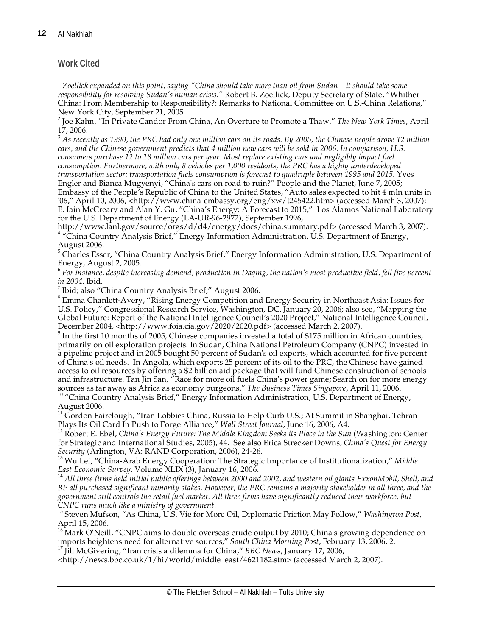## **Work Cited**

<sup>1</sup> *Zoellick expanded on this point, saying "China should take more than oil from Sudan—it should take some responsibility for resolving Sudan's human crisis."* Robert B. Zoellick, Deputy Secretary of State, "Whither China: From Membership to Responsibility?: Remarks to National Committee on U.S.-China Relations," New York City, September 21, 2005.

2 Joe Kahn, "In Private Candor From China, An Overture to Promote a Thaw," *The New York Times*, April 17, 2006.

<sup>3</sup> *As recently as 1990, the PRC had only one million cars on its roads. By 2005, the Chinese people drove 12 million cars, and the Chinese government predicts that 4 million new cars will be sold in 2006. In comparison, U.S. consumers purchase 12 to 18 million cars per year. Most replace existing cars and negligibly impact fuel consumption. Furthermore, with only 8 vehicles per 1,000 residents, the PRC has a highly underdeveloped transportation sector; transportation fuels consumption is forecast to quadruple between 1995 and 2015.* Yves Engler and Bianca Mugyenyi, "China's cars on road to ruin?" People and the Planet, June 7, 2005; Embassy of the People's Republic of China to the United States, "Auto sales expected to hit 4 mln units in '06," April 10, 2006, <http://www.china-embassy.org/eng/xw/t245422.htm> (accessed March 3, 2007); E. Iain McCreary and Alan Y. Gu, "China's Energy: A Forecast to 2015," Los Alamos National Laboratory for the U.S. Department of Energy (LA-UR-96-2972), September 1996,

http://www.lanl.gov/source/orgs/d/d4/energy/docs/china.summary.pdf> (accessed March 3, 2007). <sup>4</sup> "China Country Analysis Brief," Energy Information Administration, U.S. Department of Energy, August 2006.

5 Charles Esser, "China Country Analysis Brief," Energy Information Administration, U.S. Department of Energy, August 2, 2005.

<sup>6</sup> *For instance, despite increasing demand, production in Daqing, the nation's most productive field, fell five percent in 2004.* Ibid. 7

 $^7$  Ibid; also "China Country Analysis Brief," August 2006.

 $^8$  Emma Chanlett-Avery, "Rising Energy Competition and Energy Security in Northeast Asia: Issues for U.S. Policy," Congressional Research Service, Washington, DC, January 20, 2006; also see, "Mapping the Global Future: Report of the National Intelligence Council's 2020 Project," National Intelligence Council, December 2004, <http://www.foia.cia.gov/2020/2020.pdf> (accessed March 2, 2007).

 $9$  In the first 10 months of 2005, Chinese companies invested a total of \$175 million in African countries, primarily on oil exploration projects. In Sudan, China National Petroleum Company (CNPC) invested in a pipeline project and in 2005 bought 50 percent of Sudan's oil exports, which accounted for five percent of China's oil needs. In Angola, which exports 25 percent of its oil to the PRC, the Chinese have gained access to oil resources by offering a \$2 billion aid package that will fund Chinese construction of schools and infrastructure. Tan Jin San, "Race for more oil fuels China's power game; Search on for more energy sources as far away as Africa as economy burgeons," The Business Times Singapore, April 11, 2006.

<sup>10</sup> "China Country Analysis Brief," Energy Information Administration, U.S. Department of Energy, August 2006.

<sup>11</sup> Gordon Fairclough, "Iran Lobbies China, Russia to Help Curb U.S.; At Summit in Shanghai, Tehran Plays Its Oil Card In Push to Forge Alliance," Wall Street Journal, June 16, 2006, A4.

<sup>12</sup> Robert E. Ebel, *China's Energy Future: The Middle Kingdom Seeks its Place in the Sun (Washington: Center* for Strategic and International Studies, 2005), 44. See also Erica Strecker Downs, *China's Quest for Energy* 

*Security* (Armigren, VA: And Corporation, 2006), 23-November 2006), 23-November 2016, 2006, 24-26. 14-26. 14-26. 2006, 2006, 2006, 2006, 2006, 2006, 2006, 2006, 2006, 2006, 2006, 2006, 2006, 2006, 2006, 2006, 2006, 2006,

<sup>14</sup> All three firms held initial public offerings between 2000 and 2002, and western oil giants ExxonMobil, Shell, and *BP all purchased significant minority stakes. However, the PRC remains a majority stakeholder in all three, and the government still controls the retail fuel market. All three firms have significantly reduced their workforce, but CNPC runs much like a ministry of government.*

15 Steven Mufson, "As China, U.S. Vie for More Oil, Diplomatic Friction May Follow," *Washington Post,* April 15, 2006.

<sup>16</sup> Mark O'Neill, "CNPC aims to double overseas crude output by 2010; China's growing dependence on imports heightens need for alternative sources," South China Morning Post, February 13, 2006, 2.

<sup>17</sup> Iill McGivering, "Iran crisis a dilemma for China," *BBC News*, January 17, 2006,

<http://news.bbc.co.uk/1/hi/world/middle\_east/4621182.stm> (accessed March 2, 2007).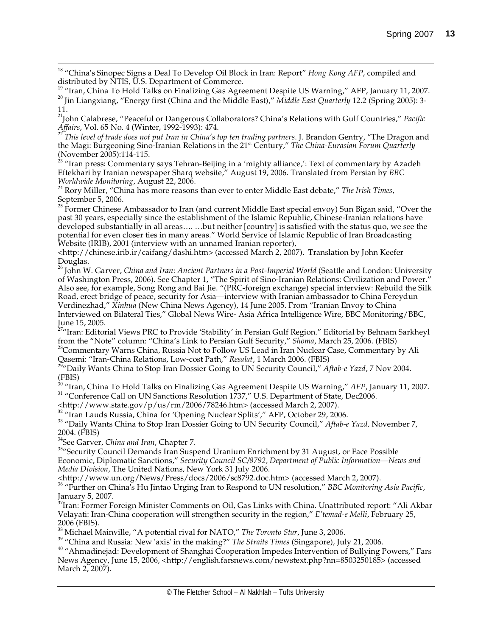18 "China's Sinopec Signs a Deal To Develop Oil Block in Iran: Report" *Hong Kong AFP*, compiled and distributed by NTIS, U.S. Department of Commerce.

<sup>19</sup> "Iran, China To Hold Talks on Finalizing Gas Agreement Despite US Warning," AFP, January 11, 2007. <sup>20</sup> Jin Liangxiang, "Energy first (China and the Middle East)," *Middle East Quarterly* 12.2 (Spring 2005): 3-11.

<sup>21</sup>John Calabrese, "Peaceful or Dangerous Collaborators? China's Relations with Gulf Countries," *Pacific Affairs*, Vol. 65 No. 4 (Winter, 1992-1993): 474.

*Affairs*, Vol. 65 No. 4 (Winter, 1992-1993): 474. 22 *This level of trade does not put Iran in China's top ten trading partners*. J. Brandon Gentry, "The Dragon and the Magi: Burgeoning Sino-Iranian Relations in the 21st Century," *The China-Eurasian Forum Quarterly* (November 2005):114-115.

 $^{23}$  "Iran press: Commentary says Tehran-Beijing in a 'mighty alliance,': Text of commentary by Azadeh Eftekhari by Iranian newspaper Sharq website," August 19, 2006. Translated from Persian by *BBC* 

<sup>24</sup> Rory Miller, "China has more reasons than ever to enter Middle East debate," *The Irish Times*, September 5, 2006.

 $^{25}$  Former Chinese Ambassador to Iran (and current Middle East special envoy) Sun Bigan said, "Over the past 30 years, especially since the establishment of the Islamic Republic, Chinese-Iranian relations have developed substantially in all areas…. …but neither [country] is satisfied with the status quo, we see the potential for even closer ties in many areas." World Service of Islamic Republic of Iran Broadcasting Website (IRIB), 2001 (interview with an unnamed Iranian reporter),

<http://chinese.irib.ir/caifang/dashi.htm> (accessed March 2, 2007). Translation by John Keefer Douglas.

<sup>26</sup> John W. Garver, *China and Iran: Ancient Partners in a Post-Imperial World* (Seattle and London: University of Washington Press, 2006). See Chapter 1, "The Spirit of Sino-Iranian Relations: Civilization and Power." Also see, for example, Song Rong and Bai Jie. "(PRC-foreign exchange) special interview: Rebuild the Silk Road, erect bridge of peace, security for Asia—interview with Iranian ambassador to China Fereydun Verdinezhad," *Xinhua* (New China News Agency), 14 June 2005. From "Iranian Envoy to China Interviewed on Bilateral Ties," Global News Wire- Asia Africa Intelligence Wire, BBC Monitoring/BBC, June 15, 2005.

 $^{27}$ "Iran: Editorial Views PRC to Provide 'Stability' in Persian Gulf Region." Editorial by Behnam Sarkheyl from the "Note" column: "China's Link to Persian Gulf Security," *Shoma*, March 25, 2006. (FBIS) <sup>28</sup>Commentary Warns China, Russia Not to Follow US Lead in Iran Nuclear Case, Commentary by Ali

Qasemi: "Iran-China Relations, Low-cost Path," *Resalat*, 1 March 2006. (FBIS) 29"Daily Wants China to Stop Iran Dossier Going to UN Security Council," *Aftab-e Yazd*, 7 Nov 2004.

(FBIS)

<sup>30</sup> "Iran, China To Hold Talks on Finalizing Gas Agreement Despite US Warning," *AFP*, January 11, 2007.<br><sup>31</sup> "Conference Call on UN Sanctions Resolution 1737," U.S. Department of State, Dec2006.

<http://www.state.gov/p/us/rm/2006/78246.htm> (accessed March 2, 2007).

<sup>32</sup> "Iran Lauds Russia, China for 'Opening Nuclear Splits'," AFP, October 29, 2006.

33 "Daily Wants China to Stop Iran Dossier Going to UN Security Council," *Aftab-e Yazd,* November 7, 2004. (FBIS)<br><sup>34</sup>See Garver, *China and Iran*, Chapter 7.

<sup>35</sup> Security Council Demands Iran Suspend Uranium Enrichment by 31 August, or Face Possible Economic, Diplomatic Sanctions," *Security Council SC/8792, Department of Public Information—News and Media Division*, The United Nations, New York 31 July 2006.

<http://www.un.org/News/Press/docs/2006/sc8792.doc.htm> (accessed March 2, 2007).

36 "Further on China's Hu Jintao Urging Iran to Respond to UN resolution," *BBC Monitoring Asia Pacific*, January 5, 2007.

 $^{37}$ Iran: Former Foreign Minister Comments on Oil, Gas Links with China. Unattributed report: "Ali Akbar Velayati: Iran-China cooperation will strengthen security in the region," *E'temad-e Melli*, February 25,

2006 (FBIS).<br><sup>38</sup> Michael Mainville, "A potential rival for NATO," *The Toronto Star*, June 3, 2006.

<sup>39</sup> "China and Russia: New 'axis' in the making?" The Straits Times (Singapore), July 21, 2006.<br><sup>40</sup> "Ahmadineiad: Development of Shanghai Cooperation Impedes Intervention of Bullying Powers," Fars News Agency, June 15, 2006, <http://english.farsnews.com/newstext.php?nn=8503250185> (accessed March 2, 2007).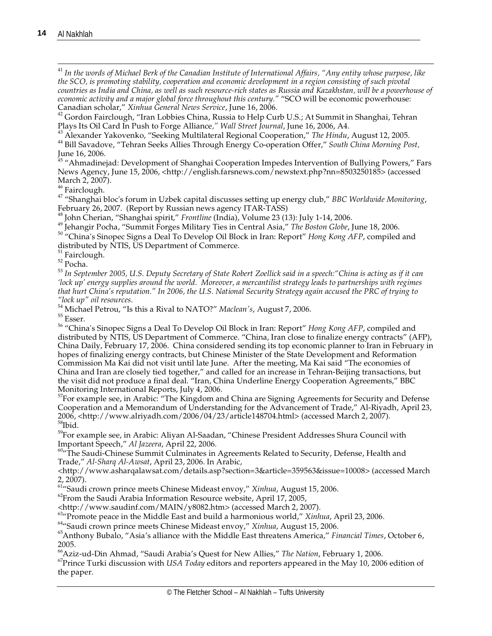<sup>41</sup> *In the words of Michael Berk of the Canadian Institute of International Affairs, "Any entity whose purpose, like the SCO, is promoting stability, cooperation and economic development in a region consisting of such pivotal countries as India and China, as well as such resource-rich states as Russia and Kazakhstan, will be a powerhouse of economic activity and a major global force throughout this century."* "SCO will be economic powerhouse:

*La Gordon Fairclough, "Iran Lobbies China, Russia to Help Curb U.S.; At Summit in Shanghai, Tehran*<br>Plays Its Oil Card In Push to Forge Alliance," Wall Street Journal, June 16, 2006, A4.

<sup>43</sup> Alexander Yakovenko, "Seeking Multilateral Regional Cooperation," The Hindu, August 12, 2005.<br><sup>44</sup> Bill Savadove, "Tehran Seeks Allies Through Energy Co-operation Offer," South China Morning Post, June 16, 2006.

<sup>45</sup> "Ahmadinejad: Development of Shanghai Cooperation Impedes Intervention of Bullying Powers," Fars News Agency, June 15, 2006, <http://english.farsnews.com/newstext.php?nn=8503250185> (accessed March 2, 2007).

<sup>46</sup> Fairclough.

47 "Shanghai bloc's forum in Uzbek capital discusses setting up energy club," *BBC Worldwide Monitoring*, February 26, 2007. (Report by Russian news agency ITAR-TASS)<br><sup>48</sup> John Cherian, "Shanghai spirit," *Frontline* (India), Volume 23 (13): July 1-14, 2006.

<sup>49</sup> Jehangir Pocha, "Summit Forges Military Ties in Central Asia," The Boston Globe, June 18, 2006.<br><sup>50</sup> "China's Sinopec Signs a Deal To Develop Oil Block in Iran: Report" *Hong Kong AFP*, compiled and distributed by NTIS, US Department of Commerce.

 $51$  Fairclough.

 $52$  Pocha.

<sup>53</sup> *In September 2005, U.S. Deputy Secretary of State Robert Zoellick said in a speech:"China is acting as if it can 'lock up' energy supplies around the world. Moreover, a mercantilist strategy leads to partnerships with regimes that hurt China's reputation." In 2006, the U.S. National Security Strategy again accused the PRC of trying to* 

*"lock up" oil resources*. 54 Michael Petrou, "Is this a Rival to NATO?" *Maclean's*, August 7, 2006. 55 Esser.

56 "China's Sinopec Signs a Deal To Develop Oil Block in Iran: Report" *Hong Kong AFP*, compiled and distributed by NTIS, US Department of Commerce. "China, Iran close to finalize energy contracts" (AFP), China Daily, February 17, 2006. China considered sending its top economic planner to Iran in February in hopes of finalizing energy contracts, but Chinese Minister of the State Development and Reformation Commission Ma Kai did not visit until late June. After the meeting, Ma Kai said "The economies of China and Iran are closely tied together," and called for an increase in Tehran-Beijing transactions, but the visit did not produce a final deal. "Iran, China Underline Energy Cooperation Agreements," BBC Monitoring International Reports, July 4, 2006.

<sup>57</sup>For example see, in Arabic: "The Kingdom and China are Signing Agreements for Security and Defense Cooperation and a Memorandum of Understanding for the Advancement of Trade," Al-Riyadh, April 23, 2006, <http://www.alriyadh.com/2006/04/23/article148704.html> (accessed March 2, 2007).  $\rm{^{58}Hid.}$ 

<sup>59</sup>For example see, in Arabic: Aliyan Al-Saadan, "Chinese President Addresses Shura Council with Important Speech," Al Jazeera, April 22, 2006.

<sup>60</sup>"The Saudi-Chinese Summit Culminates in Agreements Related to Security, Defense, Health and Trade," *Al-Sharq Al-Awsat*, April 23, 2006. In Arabic,

<http://www.asharqalawsat.com/details.asp?section=3&article=359563&issue=10008> (accessed March 2, 2007).

<sup>61</sup>"Saudi crown prince meets Chinese Mideast envoy," *Xinhua*, August 15, 2006.<br><sup>62</sup>From the Saudi Arabia Information Resource website, April 17, 2005,

<http://www.saudinf.com/MAIN/y8082.htm> (accessed March 2, 2007).<br><sup>63</sup> Tromote peace in the Middle East and build a harmonious world," *Xinhua*, April 23, 2006.

<sup>64</sup> "Saudi crown prince meets Chinese Mideast envoy," Xinhua, August 15, 2006.<br><sup>65</sup>Anthony Bubalo, "Asia's alliance with the Middle East threatens America," Financial Times, October 6,

2005.<br><sup>66</sup>Aziz-ud-Din Ahmad, "Saudi Arabia's Quest for New Allies," *The Nation*, February 1, 2006.

<sup>67</sup>Prince Turki discussion with *USA Today* editors and reporters appeared in the May 10, 2006 edition of the paper.